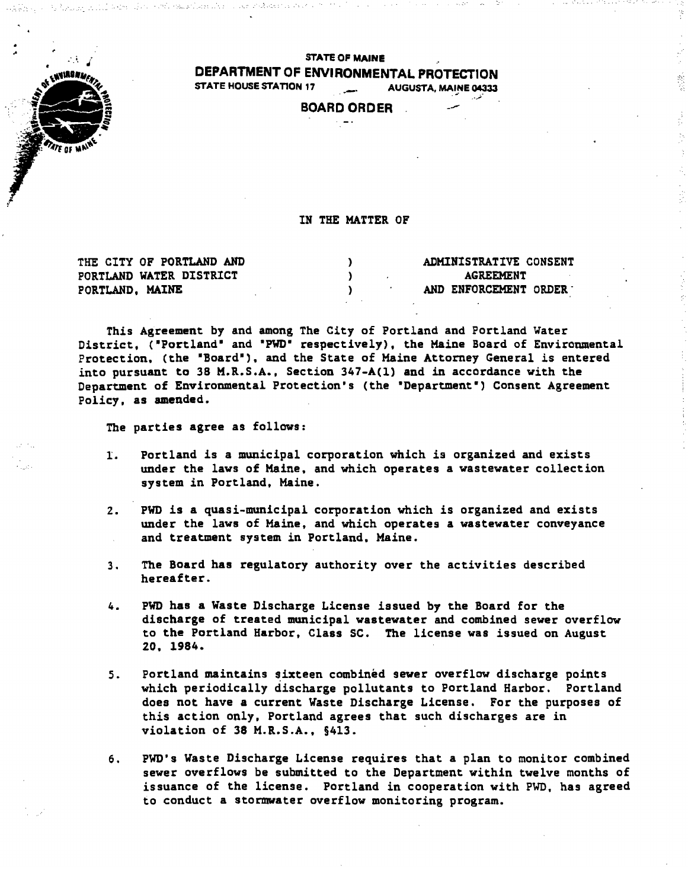

#### STATE OF MAINE DEPARTMENT OF ENVIRONMENTAL PROTECTION STATE HOUSE STATION 17 .• \_. AUGUSTA, MAINE 04333 • .,1' •• ..;."

,,} ,', '

# BOARD ORDER

## IN THE MATTER OF

| THE CITY OF PORTLAND AND | ADMINISTRATIVE CONSENT |
|--------------------------|------------------------|
| PORTLAND WATER DISTRICT  | AGREEMENT              |
| PORTLAND, MAINE          | AND ENFORCEMENT ORDER  |

This Agreement by and among The City of Portland and Portland Water District, ("Portland" and "PWD" respectively), the Maine Board of Environmental Protection, (the "Board"), and the State of Maine Attorney General is entered into pursuant to 38 M.R.S.A., Section 347-A(1) and in accordance with the Department of Environmental Protection's (the 'Department') Consent Agreement Policy, as amended.

The parties agree as follows:

- I. Portland is a municipal corporation which is organized and exists under the laws of Maine. and which operates a wastewater collection system in Portland, Maine.
- 2. PWO is a quasi-municipal corporation which is organized and exists under the laws of Maine, and which operates a wastewater conveyance and treatment system in Portland, Maine.
- 3. The Board has regulatory authority over the activities described hereafter.
- 4. PWO has a Waste Discharge License issued by the Board for the discharge of treated municipal wastewater and combined sewer overflow to the Portland Harbor, Class SC. The license was issued on August 20. 1984.
- 5. Portland maintains sixteen combined sewer overflow discharge points which periodically discharge pollutants to Portland Harbor. Portland does not have a current Waste Discharge License. For the purposes of this action only, Portland agrees that such discharges are in violation of 38 M.R.S.A., §413.
- 6. PWO's Waste Discharge License requires that a plan to monitor combined sewer overflows be submitted to the Department within twelve months of issuance of the license. Portland in cooperation with PWO, has agreed to conduct a stormwater overflow monitoring program.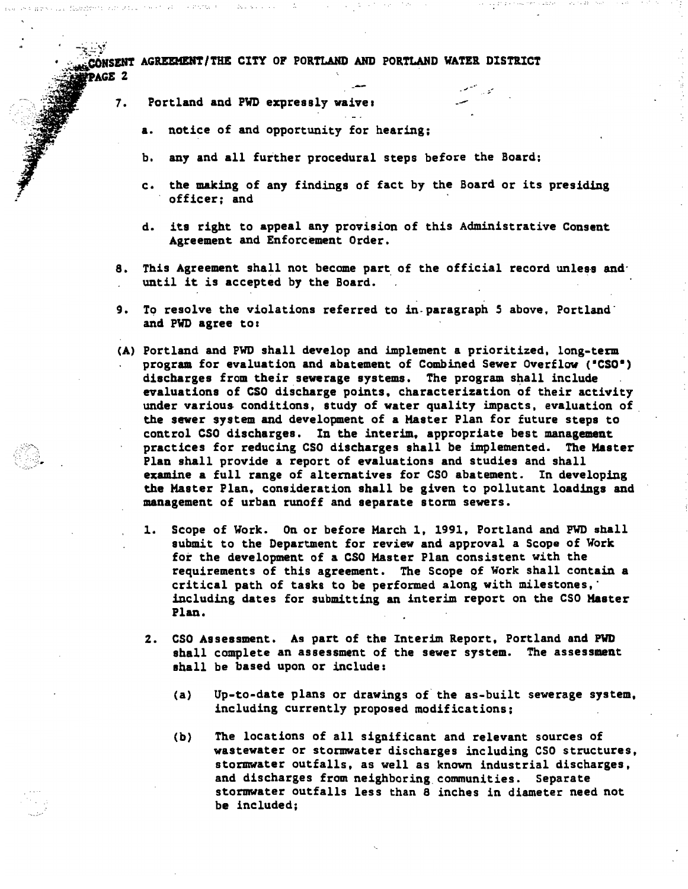> 7. Portland and PWD expressly waive:

Dec Sol

Substitutions.

- a. notice of and opportunity for hearing;
- b. any and all further procedural steps before the Board;
- c. the making of any findings of fact by the Board or its presiding officer; and

 $-$ 

- d. its right to appeal any provision of this Administrative Consent Agreement and Enforcement Order.
- 8. This Agreement shall not become part of the official record unless anduntil it is accepted by the Board.
- 9. To resolve the violations referred to in paragraph 5 above, Portland<sup>-</sup> and PWD agree to:
- (A) Portland and PWD shall develop and implement a prioritized, long-term prograa for evaluation and abatement of Combined Sewer Overflow (·CSO·) discharges from their sewerage systems. The program shall include evaluations of CSO discharge points, characterization of their activity under various conditions, study of water quality impacts, evaluation of the sewer system and development of a Master Plan for future steps to control CSO discharges. In the interim. appropriate best management practices for reducing CSO discharges shall be implemented. The Master Plan shall provide a report of evaluations and studies and shall examine a full range of alternatives for CSO abatement. In developing the Master Plan. consideration shall be given to pollutant loadings and management of urban runoff and separate storm sewers.
	- 1. Scope of Work. On or before March 1. 1991, Portland and FWD shall submit to the Department for review and approval a Scope of Work for the development of a CSO Master Plan consistent with the requirements of this agreement. The Scope of Work shall contain a critical path of tasks to be performed along with milestones," including dates for submitting an interim report on the CSO Master Plan.
	- 2. CSO Assessment. As part of the Interim Report, Portland and PWD shall complete an assessment of the sewer system. The assessment shall be based upon or include:
		- (a) Up-to-date plans or drawings of the as-built sewerage system, including currently proposed modifications;
		- (b) The locations of all significant and relevant sources of wastewater or stormwater discharges including CSO structures, stormwater outfalls, as well as known industrial discharges, and discharges from neighboring communities. Separate stormwater outfalls less than 8 inches in diameter need not be included;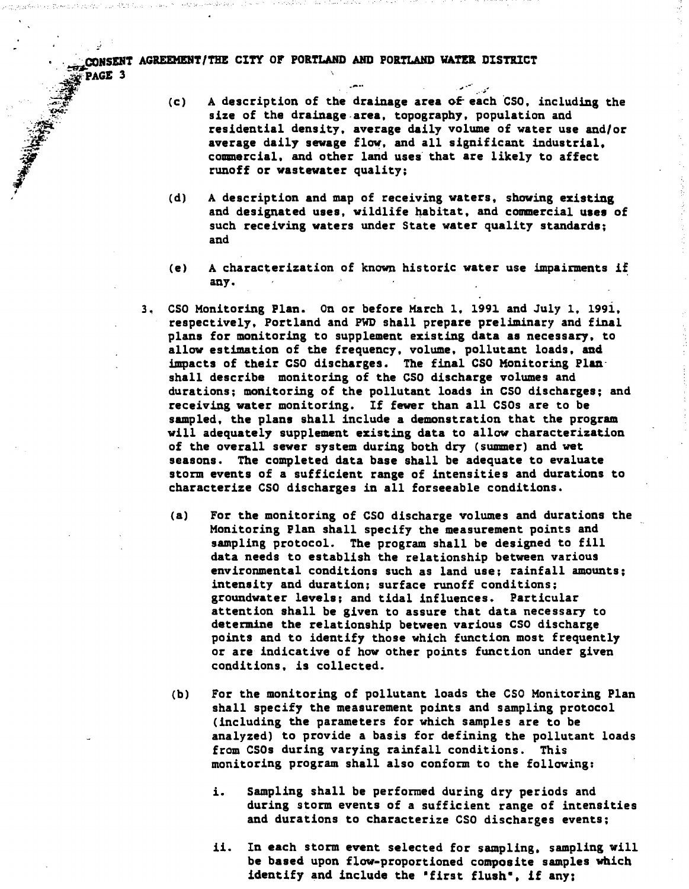**• CONSENT AGREEMENT/THE CITY OF PORTLAND AND PORTLAND WATER DISTRICT**<br>FPAGE 3  $\frac{1}{2}$   $\frac{1}{2}$   $\frac{1}{2}$   $\frac{1}{2}$   $\frac{1}{2}$   $\frac{1}{2}$   $\frac{1}{2}$   $\frac{1}{2}$   $\frac{1}{2}$   $\frac{1}{2}$   $\frac{1}{2}$   $\frac{1}{2}$   $\frac{1}{2}$   $\frac{1}{2}$   $\frac{1}{2}$   $\frac{1}{2}$   $\frac{1}{2}$   $\frac{1}{2}$   $\frac{1}{2}$   $\frac{1}{2}$   $\frac{1}{2}$   $\frac{1}{2}$ 

- *.:-;;:f!* (c) A description of the drainage area ()f- each ·cso, including the size of the drainage area. topography, population and residential density, average daily volume of water use and/or average daily sewage flow, and all significant industrial, commercial, and other land uses that are likely to affect runoff or wastewater quality;
- (d) A description and map of receiving waters, showing existing and designated uses, wildlife habitat, and commercial uses of such receiving waters under State water quality standards; and
- $(e)$  A characterization of known historic water use impairments if any.
- 3. CSO Monitoring Plan. On or before March 1. 1991 and July 1. 199i, respectively, Portland and PWD shall prepare preliminary and final plans for monitoring to supplement existing data as necessary, to allow estimation of the frequency, volume, pollutant loads. and impacts of their CSO discharges. The final CSO MOnitoring Plan' shall describe monitoring of the CSO discharge volumes and durations; monitoring of the pollutant loads in CSO discharges; and receiving water monitoring. If fewer than all CSOs are to be sampled, the plans shall include a demonstration that the program will adequately supplement existing data to allow characterization of the overall sewer system during both dry (summer) and wet seasons. The completed data base shall be adequate to evaluate storm events of a sufficient range of intensities and durations to characterize CSO discharges in all forseeable conditions.
	- (a) For the monitoring of CSO discharge volumes and durations the Monitoring Plan shall specify the measurement points and sampling protocol. The program shall be designed to fill data needs to establish the relationship between various environmental conditions such as land use; rainfall amounts; intensity and duration; surface runoff conditions; groundwater levels; and tidal influences. Particular attention shall be given to assure that data necessary to determine the relationship between various CSO discharge points and to identify those which function most frequently or are indicative of how other points function under given conditions, is collected.
	- (b) For the monitoring of pollutant loads the CSO Monitoring Plan shall specify the measurement points and sampling protocol (including the parameters for which samples are to be analyzed) to provide a basis for defining the pollutant loads from CSOs during varying rainfall conditions. This monitoring program shall also conform to the following:
		- i. Sampling shall be performed during dry periods and during storm events of a sufficient range of intensities and durations to characterize CSO discharges events;
		- ii. In each storm event selected for sampling. sampling will be based upon flow-proportioned composite samples which identify and include the "first flush", if any: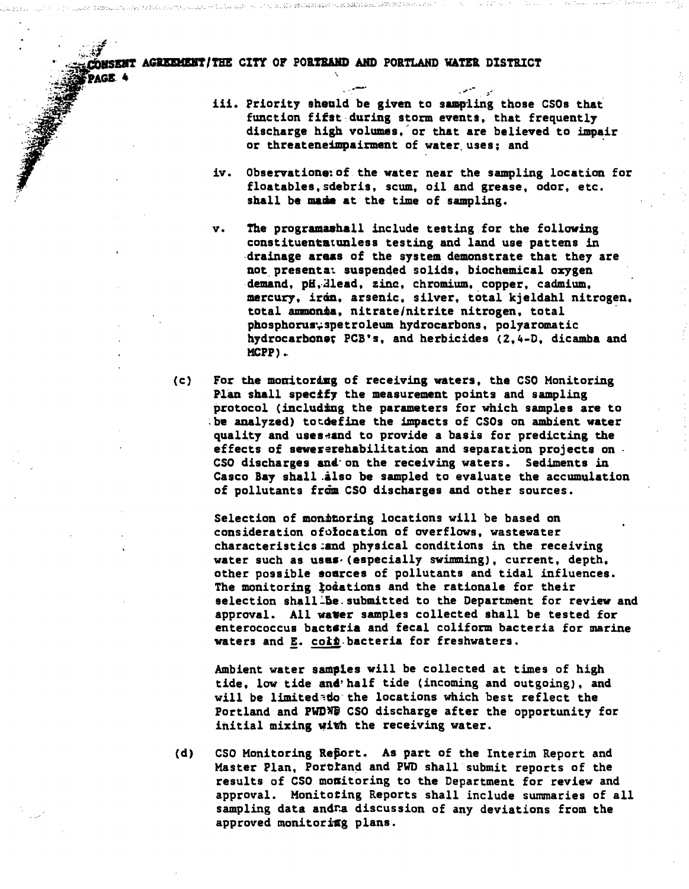WIT AGREEMENT/THE CITY OF PORTRAND AND PORTLAND WATER DISTRICT

\

.-'

- 
- iii. Priority sheuld be given to sampling those CSOs that function fifst during storm events, that frequently discharge high volumes, or that are believed to impair or threateneimpairment of water uses; and
- iv. Observatione of the water near the sampling location for floatables, sdebris, scum, oil and grease, odor, etc. shall be made at the time of sampling.
- v. The programashall include testing for the following constituentatunless testing and land use pattens in ,drainage areas of the system demonstrate that they are not presentat suspended solids, biochemical oxygen demand, pH, Hlead, zinc, chromium, copper. cadmium. mercury, iran, arsenic, silver, total kjeldahl nitrogen. total ammonia, nitrate/nitrite nitrogen. total phosphorus: spetroleum hydrocarbons, polyaromatic hydrocarbone; PCB's, and herbicides (2,4-D, dicamba and KePP) ..
- (c) For the monitoring of receiving waters, the CSO Monitoring Plan shall specify the measurement points and sampling protocol (including the parameters for which samples are to be analyzed) totdefine the impacts of CSOs on ambient water quality and uses-and to provide a basis for predicting the effects of sewererehabilitation and separation projects on - eso discharges and on the receiving waters. Sediments in Casco Bay shall .also be sampled to evaluate the accumulation of pollutants from CSO discharges and other sources.

Selection of monitoring locations will be based on consideration ofolocation of overflows, wastewater characteristics;and physical conditions in the receiving water such as uses (especially swimming), current, depth. other possible eoarces of pollutants and tidal influences. The monitoring lodations and the rationale for their selection shall Be. submitted to the Department for review and approval. All water samples collected shall be tested for enterococcus bacteria and fecal coliform bacteria for marine waters and  $\underline{E}$ . coi $\underline{h}$  bacteria for freshwaters.

Ambient water samples will be collected at times of high tide. low tide and'half tide (incoming and outgoing), and will be limitede the locations which best reflect the Portland and PWDNG CSO discharge after the opportunity for initial mixing wiwh the receiving water.

(d) CSO Monitoring Report. As part of the Interim Report and Master Plan. Porthand and PWD shall submit reports of the results of CSO monitoring to the Department for review and approval. Monitoting Reports shall include summaries of all sampling data andra discussion of any deviations from the approved monitoring plans.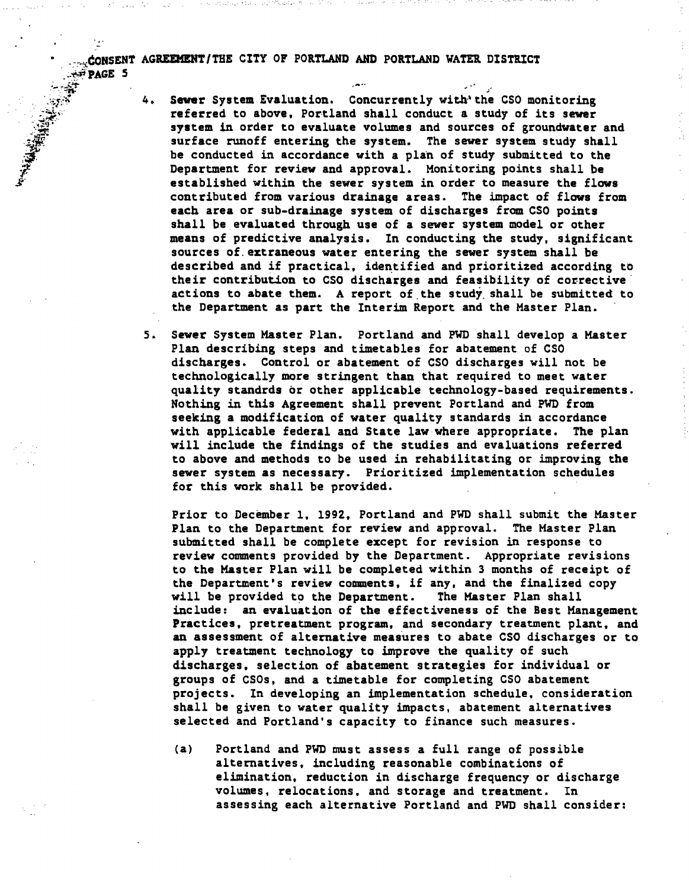**PAGE 5** 

- 4. Sewer System Evaluation. Concurrently with' the CSO monitoring referred to above. Portland shall conduct a study of its sewer system in order to evaluate volumes and sources of groundwater and surface runoff entering the system. The sewer system study shall be conducted in accordance with a plan of study submitted to the Department for review and approval. Monitoring points shall be established within the sewer system in order to measure the flows contributed from various drainage areas. The impact of flows from each area or sub-drainage system of discharges from CSO points shall be evaluated through use of a sewer system model or other means of predictive analysis. In conducting the study, significant sources of. extraneous water entering the sewer system shall be described and if practical, identified and prioritized according to their contribution to CSO discharges and feasibility of corrective' actions to abate them. A report of the study shall be submitted to the Department as part the Interim Report and the Haster Plan. '
- 5. Sewer System Master Plan. Portland and PWD shall develop a Master Plan describing steps and timetables for abatement of CSO discharges. Control or abatement of CSO discharges will not be technologically more stringent than that required to meet water quality standrds or other applicable technology-based requirements. Nothing in this Agreement shall prevent Portland and PWD from seeking a modification of water quality standards in accordance with applicable federal and State law where appropriate. The plan will include the findings of the studies and evaluations referred to above and methods to be used in rehabilitating or improving the sewer system as necessary. Prioritized implementation schedules for this work shall be provided.

Prior to December 1. 1992. Portland and PWD shall submit the Master Plan to the Department for review and approval. The Master Plan submitted shall be complete except for revision in response to review comments provided by the Department. Appropriate revisions to the Master Plan will be completed within 3 months of receipt of the Department's review comments. if any. and the finalized copy will be provided to the Department. The Master Plan shall include: an evaluation of the effectiveness of the Best Management Practices, pretreatment program, and secondary treatment plant, and an assessment of alternative measures to abate CSO discharges or to apply treatment technology to improve the quality of such discharges. selection of abatement strategies for individual or groups of CSOs. and a timetable for completing CSO abatement projects. In developing an implementation schedule, consideration shall be given to water quality impacts, abatement alternatives selected and Portland's capacity to finance such measures.

(a) Portland and PWD must assess a full range of possible alternatives, including reasonable combinations of elimination, reduction in discharge frequency or discharge volumes, relocations, and storage and treatment. In assessing each alternative Portland and PWD shall consider: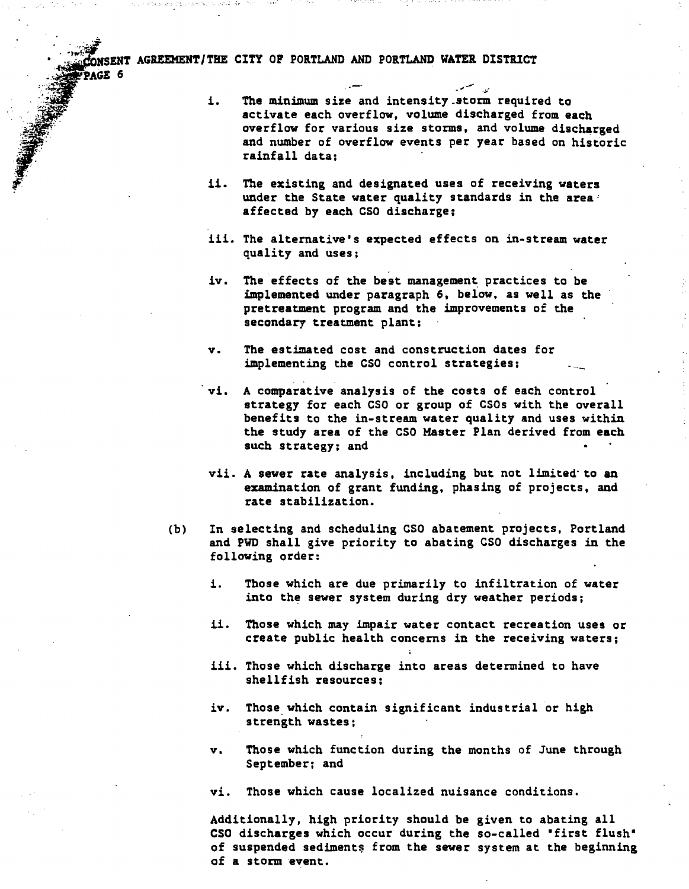AGE 6

i. The minimum size and intensity storm required to activate each overflow, volume discharged from each overflow for various size storms, and volume discharged and number of overflow events per year based on historic rainfall data;

, .. -~ .,..,... -;/'

- ii. The existing and designated uses of receiving waters under the State water quality standards in the area' affected by each CSO discharge;
- iii. The alternative's expected effects on in-stream water quality and uses;
- iv. The effects of the best management practices to be implemented under paragraph 6. below. as well as the pretreatment program and the improvements of the secondary treatment plant;
- v. The estimated cost and construction dates for implementing the CSO control strategies;
- vi. A comparative analysis of the costs of each control strategy for each CSO or group of CSOs with the overall benefits to the in-stream water quality and uses within the study area of the CSO Master Plan derived from each such strategy; and
- vii. A sewer rate analysis, including but not limited to an examination of grant funding. phasing of projects, and rate stabilization.
- (b) In selecting and scheduling CSO abatement projects, Portland and PWD shall give priority to abating CSO discharges in the following order:
	- i. Those which are due primarily to infiltration of water into the sewer system during dry weather periods;
	- ii. Those which may impair water contact recreation uses or create public health concerns in the receiving waters;
	- iii. Those which discharge into areas determined to have shellfish resources;
	- iv. Those which contain significant industrial or high strength wastes;
	- v. Those which function during the months of June through September; and
	- vi. Those which cause localized nuisance conditions.

Additionally. high priority should be given to abating all CSO discharges which occur during the so-called 'first flush' of suspended sediments from the sewer system at the beginning of a stoen event.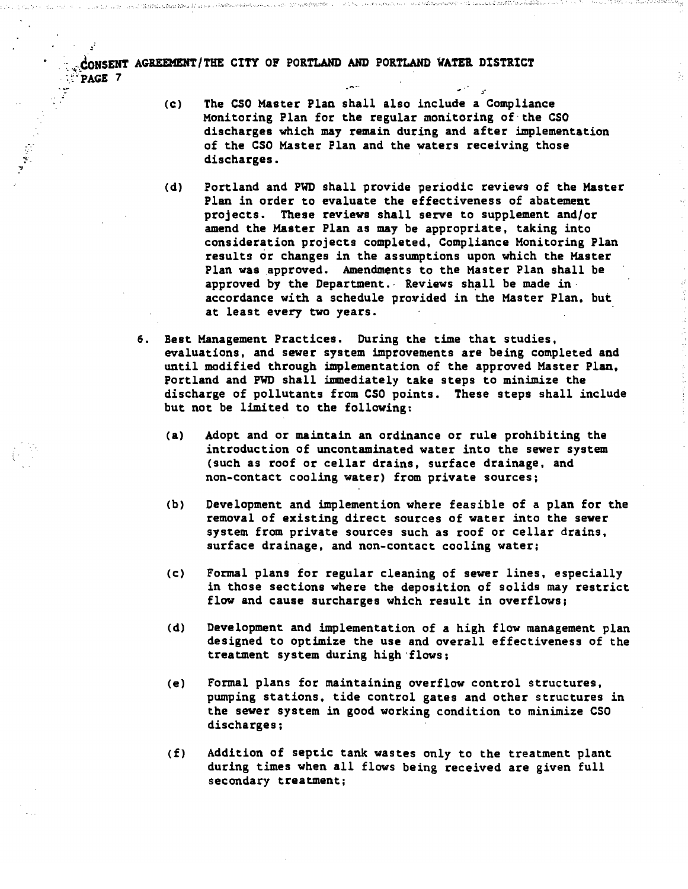- (c) The CSO Master Plan shall also include a Compliance Monitoring Plan for the regular monitoring of the CSO discharges which may remain during and after implementation of the CSO Master Plan and the waters receiving those discharges.
- (d) Portland and PWD shall provide periodic reviews of the Master Plan in order to evaluate the effectiveness of abatement projects. These reviews shall serve to supplement and/or amend the Master Plan as may be appropriate, taking into consideration projects completed, Compliance Monitoring Plan results or changes in the assumptions upon which the Haster Plan was approved. Amendments to the Master Plan shall be approved by the Department. $\cdot$  Reviews shall be made inaccordance with a schedule provided in the Master Plan, but at least every two years.
- 6. Best Management Practices. During the time that studies, evaluations, and sewer system improvements are being completed and until modified through implementation of the approved Master Plan. Portland and PWD shall immediately take steps to minimize the discharge of pollutants from CSO points. These steps shall include but not be limited to the following:
	- (a) Adopt and or maintain an ordinance or rule prohibiting the introduction of uncontaminated water into the sewer system (such as roof or cellar drains, surface drainage, and non-contact cooling water) from private sources;
	- (b) Development and implemention where feasible of a plan for the removal of existing direct sources of water into the sewer system from private sources such as roof or cellar drains, surface drainage, and non-contact cooling water;
	- (c) Formal plans for regular cleaning of sewer lines, especially in those sections where the deposition of solids may restrict flow and cause surcharges which result in overflows;
	- (d) Development and implementation of a high flow management plan designed to optimize the use and overall effectiveness of the treatment system during high 'flows;
	- (e) Formal plans for maintaining overflow control structures, pumping stations, tide control gates and other structures in the sewer system in good working condition to minimize CSO discharges;
	- (f) Addition of septic tank wastes only to the treatment plant during times when all flows being received are given full secondary treatment;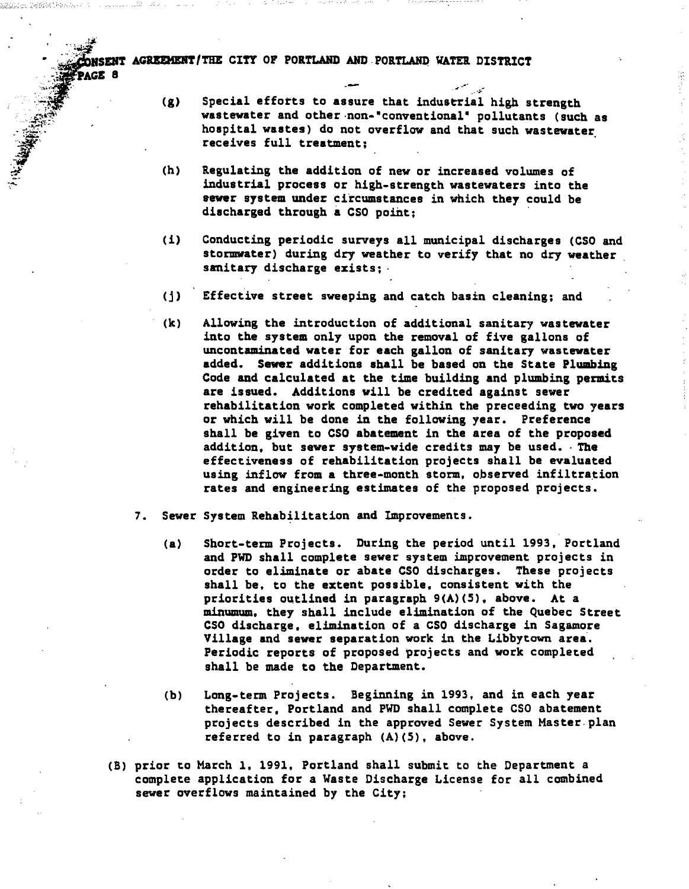*. ";J'*  . ~ ... ~.:': . ..- ""....... ,:':" ENT AGREEMENT/THE CITY OF PORTLAND AND PORTLAND WATER DISTRICT  $\frac{1}{2}$ . PAGE 8

.

.-OW .<br>.<br>. .. :!~ -":.~

- $(g)$  Special efforts to assure that industrial high strength wastewater and other non-"conventional" pollutants (such as hospital wastes) do not overflow and that such wastewater receives full treatment:
- (h) Regulating the addition of new or increased volumes of industrial process or high-strength wastewaters into the sewer system under circumstances in which they could be discharged through a CSO point;
- (i) Conducting periodic surveys all municipal discharges (CSO and stormwater) during dry weather to verify that no dry weather sanitary discharge exists:
- (j) Effective street sweeping and catch basin cleaning; and
- (k) Allowing the introduction of additional sanitary wastewater into the system only upon the removal of five gallons of uncontaminated water for each gallon of sanitary wastewater added. Sewer additions shall be based on the State Plumbing Code and calculated at the time building and plumbing permits are issued. Additions will be credited against sewer rehabilitation work completed within the preceeding two years or which will be done in the following year. Preference shall be given to CSO abatement in the area of the proposed addition. but sewer system-wide credits may be used. The effectiveness of rehabilitation projects shall be evaluated using inflow from a three-month storm, observed infiltration rates and engineering estimates of the proposed projects.
- 7. Sewer System Rehabilitation and Improvements.
	- (a) Short-teen Projects. During the period until 1993, Portland and PWD shall complete sewer system improvement projects in order to eliminate or abate CSO discharges. These projects shall be, to the extent possible. consistent with the priorities outlined in paragraph  $9(A)(5)$ . above. At a minumum. they shall include elimination of the Quebec Street CSO discharge, elimination of a eso discharge in Sagamore Village and sewer separation work in the Libby town area. Periodic reports of proposed projects and work completed shall be made to the Department.
	- (b) Long-term Projects. Beginning in 1993, and in each year thereafter. Portland and PWD shall complete CSO abatement projects described in the approved Sewer System Master. plan referred to in paragraph (A)(S), above.
- (B) prior to March 1. 1991, Portland shall submit to the Department a complete application for a Yaste Discharge License for all combined sewer overflows maintained by the City;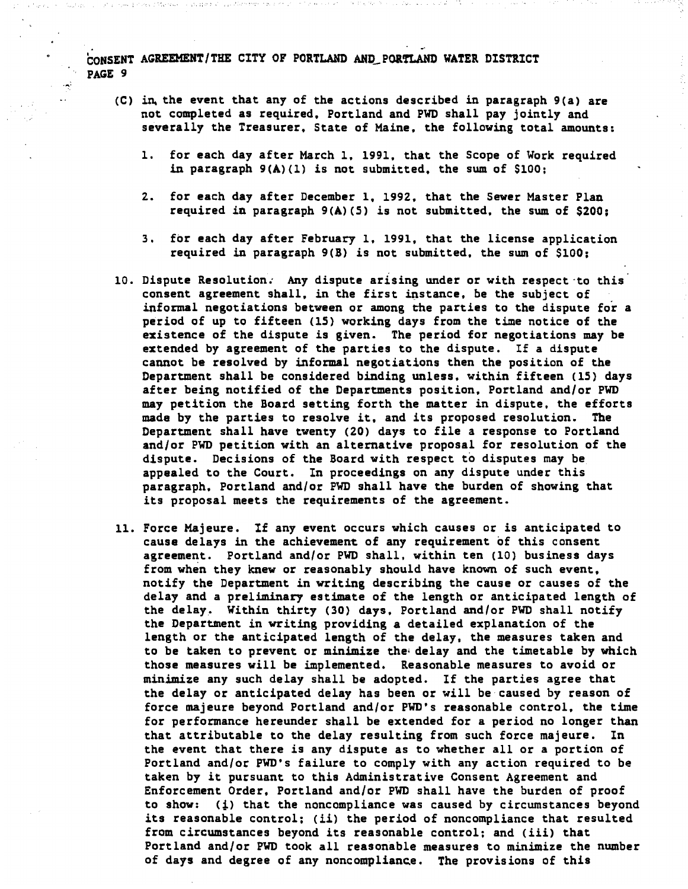- (C) in the event that any of the actions described in paragraph  $9(a)$  are not completed as required. Portland and PWD shall pay jointly and severally the Treasurer. State of Maine, the following total amounts:
	- 1. for each day after March 1, 1991, that the Scope of Work required in paragraph  $9(A)(1)$  is not submitted. the sum of  $$100$ ;
	- 2. for each day after December 1. 1992. that the Sewer Master Plan required in paragraph 9(A)(5) is not submitted, the sum of \$200;
	- 3. for each day after February 1, 1991, that the license application required in paragraph 9(B) is not submitted, the sum of \$100;
- 10. Dispute Resolution. Any dispute arising under or with respect-to this consent agreement shall, in the first instance, be the subject of informal negotiations between or among the parties to the dispute for a period of up to fifteen (15) working days from the time notice of the existence of the dispute is given. The period for negotiations may be extended by agreement of the parties to the dispute. If a dispute cannot be resolved by informal negotiations then the position of the Department shall be considered binding unless, within fifteen (15) days after being notified of the Departments position. Portland and/or PWD may petition the Board setting forth the matter in dispute, the efforts made by the parties to resolve it, and its proposed resolution. The Department shall have twenty (20) days to file a response to Portland and/or PWD petition with an alternative proposal for resolution of the dispute. Decisions of the Board with respect to disputes may be appealed to the Court. In proceedings on any dispute under this paragraph, Portland and/or PWO shall have the burden of showing that its proposal meets the requirements of the agreement.
- 11. Force Majeure. If any event occurs which causes or is anticipated to cause delays in the achievement of any requirement of this consent agreement. Portland and/or PWD shall. within ten (10) business days from when they knew or reasonably should have known of such event. notify the Department in writing describing the cause or causes of the delay and a preliminary estimate of the length or anticipated length of the delay. Within thirty (30) days, Portland and/or PWD shall notify the Department in writing providing a detailed explanation of the length or the anticipated length of the delay, the measures taken and to be taken to prevent or minimize the delay and the timetable by which those measures will be implemented. Reasonable measures to avoid or minimize any such delay shall be adopted. If the parties agree that the delay or anticipated delay has been or will be caused by reason of force majeure beyond Portland and/or PWO's reasonable control. the time for performance hereunder shall be extended for a period no longer than that attributable to the delay resulting from such force majeure. In the event that there is any dispute as to whether all or a portion of Portland and/or PWO's failure to comply with any action required to be taken by it pursuant to this Administrative Consent Agreement and Enforcement Order, Portland and/or PWD shall have the burden of proof to show: *(i)* that the noncompliance was caused by circumstances beyond its reasonable control; (ii) the period of noncompliance that resulted from circumstances beyond its reasonable control; and (iii) that Portland and/or PWO took all reasonable measures to minimize the number of days and degree of any noncompliance. The provisions of this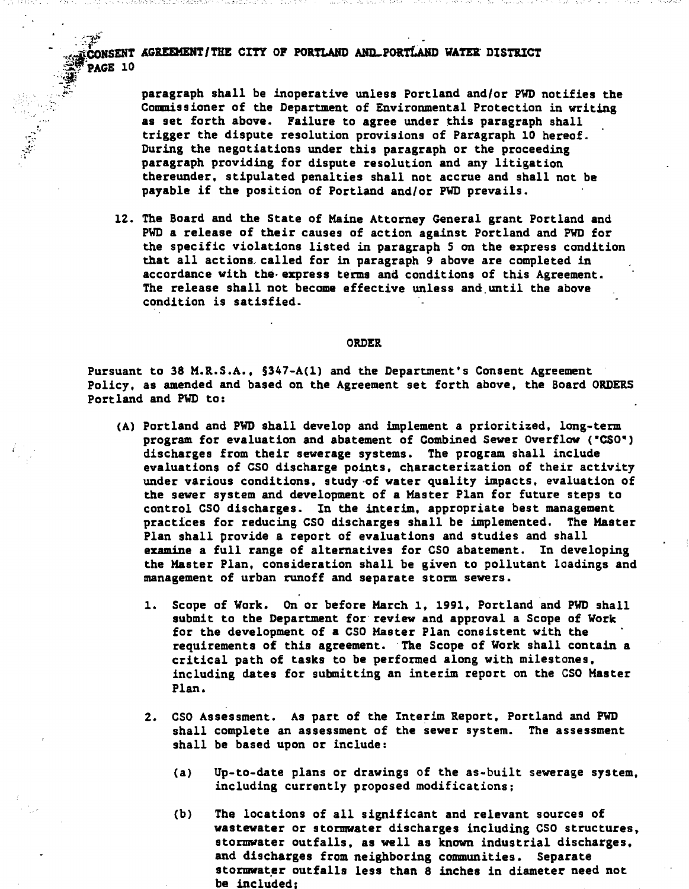'\_.  $\frac{1}{2}$  ,  $\frac{1}{2}$  ,  $\frac{1}{2}$  ,  $\frac{1}{2}$  ,  $\frac{1}{2}$ . . ,

paragraph shall be inoperative unless Portland and/or FWD notifies the Commissioner of the Department of Environmental Protection in writing as set forth above. Failure to agree under this paragraph shall trigger the dispute resolution provisions of Paragraph 10 hereof. During the negotiations under this paragraph or the proceeding paragraph providing for dispute resolution and any litigation thereunder, stipulated penalties shall not accrue and shall not be payable if the position of Portland and/or PWD prevails.

12. The Board and the State of Maine Attorney General grant Portland and PWD a release of their causes of action against Portland and FWD for the specific violations listed in paragraph 5 on the express condition that all actions called for in paragraph 9 above are completed in accordance with the express terms and conditions of this Agreement. The release shall not become effective unless and until the above condition is satisfied.

#### **ORDER**

Pursuant to 38 M.R.S.A., §347-A(1) and the Department's Consent Agreement Policy, as amended and based on the Agreement set forth above. the Board ORDERS Portland and PWD to:

- (A) Portland and PWD shall develop and implement a prioritized. long-term program for evaluation and abatement of Combined Sewer Overflow (·CSO-) discharges from their sewerage systems. The program shall include evaluations of CSO discharge points, characterization of their activity under various conditions, study-of water quality impacts, evaluation of the sewer system and development of a Master Plan for future steps to control CSO discharges. In the interim, appropriate best management practices for reducing CSO discharges shall be implemented. The Master Plan shall provide a report of evaluations and studies and shall examine a full range of alternatives for CSO abatement. In developing the Master Plan, consideration shall be given to pollutant loadings and management of urban runoff and separate storm sewers.
	- 1. Scope of Vork. On or before March 1, 1991, Portland and FWD shall submit to the Department for review and approval a Scope of Work for the development of a CSO Master Plan consistent with the requirements of this agreement. The Scope of Vork shall contain a critical path of tasks to be performed along with milestones, including dates for submitting an interim report on the CSO Master Plan.
	- 2. CSO Assessment. As part of the Interim Report, Portland and PWD shall complete an assessment of the sewer system. The assessment shall be based upon or include:
		- (a> Up-to-date plans or drawings of the as-built sewerage system, including currently proposed modifications;
		- (b) The locations of all significant and relevant sources of wastewater or stormwater discharges including CSO structures, stormwater outfalls, as well as known industrial discharges, and discharges from neighboring communities. Separate stormwater outfalls less than 8 inches in diameter need not be included;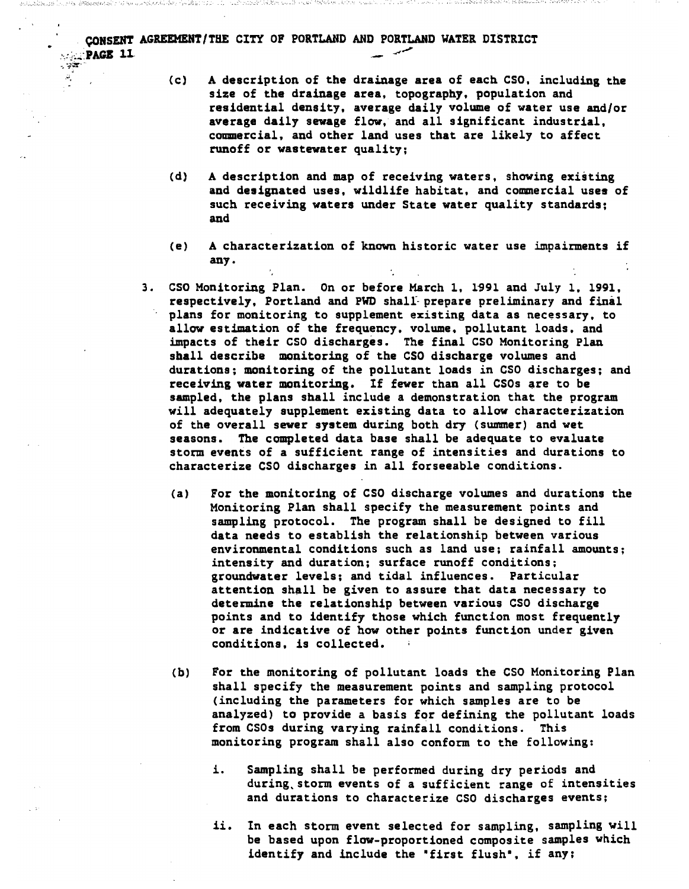CONSENT AGREEMENT/THE CITY OF PORTLAND AND PORTLAND WATER DISTRICT '·,:~~..;;:PAGI 11 .- -,,'" ~~ ~;rr' '"

- $\ddot{\epsilon}$ . (c) A description of the drainage area of each CSO, including the size of the drainage area, topography, population and residential density. average daily volume of water use and/or average daily sewage flow. and all significant industrial, commercial. and other land uses that are likely to affect runoff or wastewater quality;
	- (d) A description and map of receiving waters, showing existing and designated uses, wildlife habitat. and commercial uses of such receiving waters under State water quality standards; and
	- (e) A characterization of known historic water use impairments if any.
	- 3. CSO Monitoring Plan. On or before March 1, 1991 and July 1, 1991, respectively, Portland and PWD shall prepare preliminary and final plans for monitoring to supplement existing data as necessary, to allow estimation of the frequency, volume. pollutant loads, and impacts of their CSO discharges. The final CSO Monitoring Plan shall describe monitoring of the CSO discharge volumes and durations; monitoring of the pollutant loads in CSO discharges; and receiving water monitoring. If fewer than all CSOs are to be sampled, the plans shall include a demonstration that the program will adequately supplement existing data to allow characterization of the overall sewer system during both dry (summer) and wet seasons. The completed data base shall be adequate to evaluate storm events of a sufficient range of intensities and durations to characterize CSO discharges in all forseeable conditions.
		- (a) For the monitoring of CSO discharge volumes and durations the Monitoring Plan shall specify the measurement points and sampling protocol. The program shall be designed to fill data needs to establish the relationship between various environmental conditions such as land use; rainfall amounts; intensity and duration; surface runoff conditions: groundwater levels; and tidal influences. Particular attention shall be given to assure that data necessary to determine the relationship between various CSO discharge points and to identify those which function most frequently or are indicative of how other points function under given conditions, is collected.
		- (b) For the monitoring of pollutant loads the CSO Monitoring Plan shall specify the measurement points and sampling protocol (including the parameters for which samples are to be analyzed) to provide a basis for defining the pollutant loads from CSOs during varying rainfall conditions. This monitoring program shall also conform to the following:
			- i. Sampling shall be performed during dry periods and during, storm events of a sufficient range of intensities and durations to characterize CSO discharges events;
			- ii. In each storm event selected for sampling, sampling will be based upon flow-proportioned composite samples Which identify and include the "first flush", if any;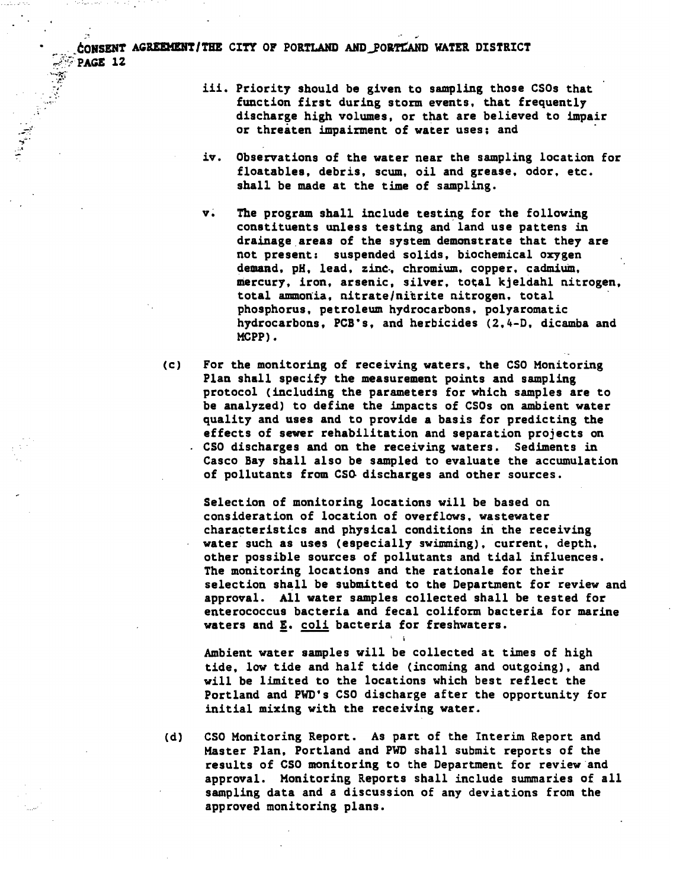$\frac{1}{2}$ . ;.~  $\frac{1}{2}$ 

 $\frac{1}{2}$ 

- iii. Priority should be given to sampling those CSOs that function first during storm events. that frequently discharge high volumes, or that are believed to impair or threaten impairment of water uses; and
- iv. Observations of the water near the sampling location for floatables, debris, scum. oil and grease, odor. etc. shall be made at the time of sampling.
- v. The program shall include testing for the following constituents unless testing and land use pattens in drainage areas of the system demonstrate that they are not present: suspended solids, biochemical oxygen demand, pH. lead, zinc. chromium. copper. cadmium. mercury, iron, arsenic, silver, total kjeldahl nitrogen,<br>total ammonia, nitrate/nitrite nitrogen, total phosphorus, petroleum hydrocarbons, polyaromatic hydrocarbons, PCB's, and herbicides (2,4-D. dicamba and MCPP) •
- (c) For the monitoring of receiving waters, the CSO Monitoring Plan shall specify the measurement points and sampling protocol (including the parameters for which samples are to be analyzed) to define the impacts of CSOs on ambient water quality and uses and to provide a basis for predicting the effects of sewer rehabilitation and separation projects on CSO discharges and on the receiving waters. Sediments in Casco Bay shall also be sampled to evaluate the accumulation of pollutants from CSG discharges and other sources.

Selection of monitoring locations will be based on consideration of location of overflows, wastewater characteristics and physical conditions in the receiving water such as uses (especially swtmming), current, depth, other possible sources of pollutants and tidal influences. The monitoring locations and the rationale for their selection shall be submitted to the Department for review and approval. All water samples collected shall be tested for enterococcus bacteria and fecal coliform bacteria for marine waters and E. coli bacteria for freshwaters.

Ambient water samples will be collected at times of high tide, low tide and half tide (incoming and outgoing), and will be limited to the locations which best reflect the Portland and FWD's CSO discharge after the opportunity for initial mixing with the receiving water.

: i:

(d) CSO Monitoring Report. As part of the Interim Report and Master Plan, Portland and PWD shall submit reports of the results of CSO monitoring to the Department for review and approval. Monitoring Reports shall include summaries of all sampling data and a discussion of any deviations from the approved monitoring plans.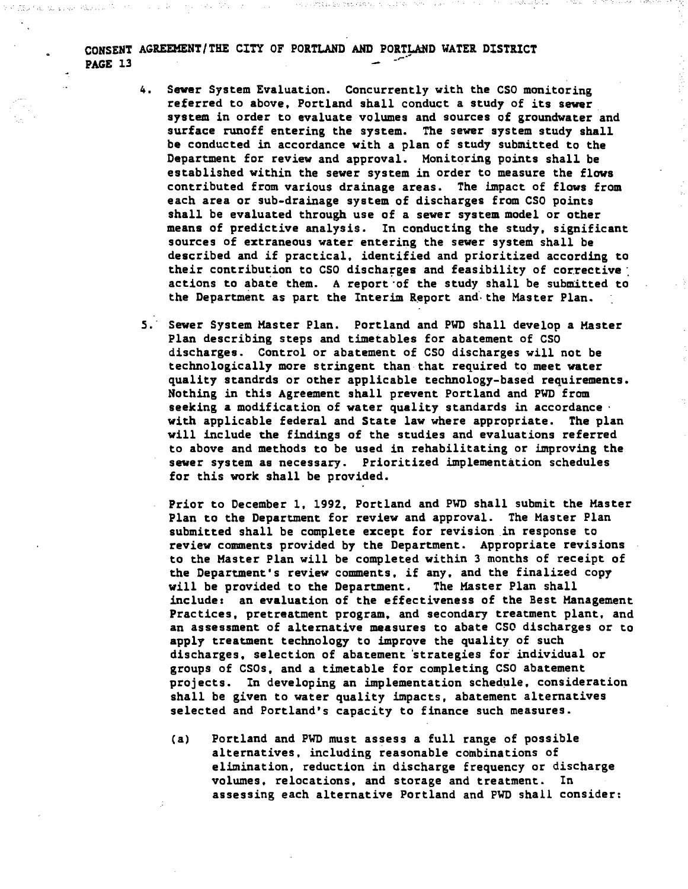- 4. Sewer System Evaluation. Concurrently with the CSO monitoring referred to above. Portland shall conduct a study of its sewer. system in order to evaluate volumes and sources of groundwater and surface runoff entering the system. The sewer system study shall be conducted in accordance with a plan of study submitted to the Department for review and approval. Monitoring points shall be established within the sewer system in order to measure the flows contributed from various drainage areas. The impact of flows from each area or sub-drainage system of discharges from CSO points shall be evaluated through use of a sewer system model or other means of predictive analysis. In conducting the study, significant sources of extraneous water entering the sewer system shall be described and if practical. identified and prioritized according to their contribution to CSO discharges and feasibility of corrective : actions to abate them. A report 'of the study shall be submitted to the Department as part the Interim Report and the Master Plan.
- 5. Sewer System Master Plan. Portland and PWD shall develop a Master Plan describing steps and timetables for abatement of CSO discharges. Control or abatement of CSO discharges will not be technologically more stringent than that required to meet water quality standrds or other applicable technology-based requirements. Nothing in this Agreement shall prevent Portland and PWO from seeking a modification of water quality standards in accordance ' with applicable federal and State law where appropriate. The plan will include the findings of the studies and evaluations referred to above and methods to be used in rehabilitating or improving the sewer system as necessary. Prioritized implementation schedules for this work shall be provided.
	- Prior to December 1. 1992. Portland and PWD shall submit the Master Plan to the Department for review and approval. The Master Plan submitted shall be complete except for revision in response to review comments provided by the Department. Appropriate revisions to the Master Plan will be completed within 3 months of receipt of the Department's review comments, if any, and the finalized copy<br>will be provided to the Department. The Master Plan shall will be provided to the Department. include: an evaluation of the effectiveness of the Best Management Practices, pretreatment program. and secondary treatment plant. and an assessment of alternative measures to abate CSO discharges or to apply treatment technology to improve the quality of such discharges. selection of abatement 'strategies for individual or groups of CSOs, and a timetable for completing CSO abatement projects. In developing an implementation schedule. consideration shall be given to water quality impacts. abatement alternatives selected and Portland's capacity to finance such measures.
	- (a) Portland and PWD must assess a full range of possible alternatives, including reasonable combinations of elimination. reduction in discharge frequency or discharge volumes. relocations. and storage and treatment. In assessing each alternative Portland and FWD shall consider: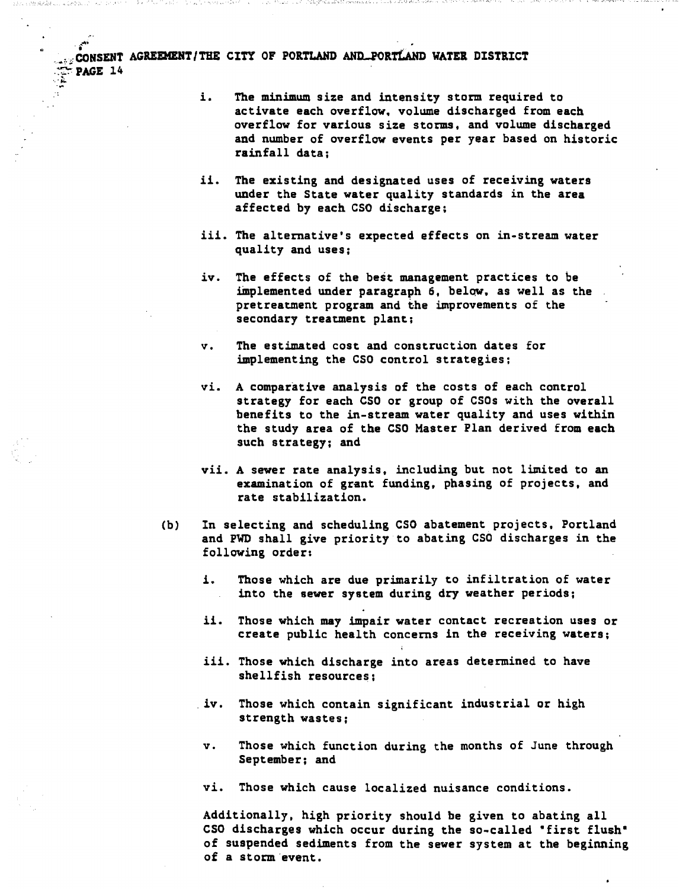""-

- i. The minimum size and intensity storm required to activate each overflow. volume discharged from each overflow for various size storms, and volume discharged and number of overflow events per year based on historic rainfall data;
- ii. The existing and designated uses of receiving waters under the State water quality standards in the area affected by each CSO discharge;
- iii. The alternative's expected effects on in-stream water quality and uses;
- iv. The effects of the best management practices to be tmplemented under paragraph 6. belqw. as well as the pretreatment program and the improvements of the secondary treatment plant;
- v. The estimated cost and construction dates for implementing the CSO control strategies;
- vi. A comparative analysis of the costs of each control strategy for each CSO or group of CSOs with the overall benefits to the in-stream water quality and uses within the study area of the CSO Master Plan derived from each such strategy; and
- vii. A sewer rate analysis. including but not limited to an examination of grant funding, phasing of projects, and rate stabilization.
- (b) In selecting and scheduling CSO abatement projects, Portland and PWD shall give priority to abating CSO discharges in the following order:
	- i. Those which are due primarily to infiltration of water into the sewer system during dry weather periods;
	- ii. Those which may impair water contact recreation uses or create public health concerns in the receiving waters;
	- iii. Those which discharge into areas determined to have shellfish resources;
	- . iv. Those which contain significant industrial or high strength wastes;
	- v. Those which function during the months of June through September; and
	- vi. Those which cause localized nuisance conditions.

Additionally, high priority should be given to abating all CSO discharges which occur during the so-called "first flush" of suspended sediments from the sewer system at the beginning of a storm event.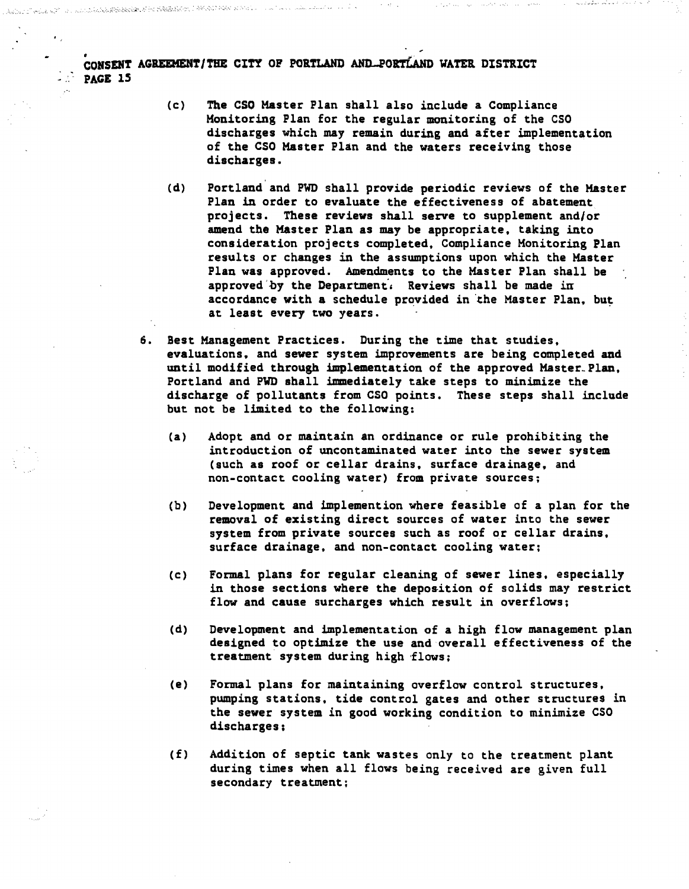AND REPORT ON THE STATE OF A REPORT OF A STATE OF A REPORT OF A STATE OF A REPORT OF A STATE OF A STATE OF A ST

- (c) The CSO Master Plan shall also include a Compliance Monitoring Plan for the regular monitoring of the CSO discharges which may remain during and after implementation of the CSO Master Plan and the waters receiving those discharges.
- (d) Portland and PWD shall provide periodic reviews of the Master Plan in order to evaluate the effectiveness of abatement projects. These reviews shall serve to supplement and/or amend the Master Plan as may be appropriate, taking into consideration projects completed, Compliance Monitoring Plan results or changes in the assumptions upon which the Master Plan was approved. Amendments to the Master Plan shall be approved by the Department. Reviews shall be made in accordance with a schedule provided in the Master Plan. but at least every two years.
- 6. Best Hanagement Practices. During the time that studies, evaluations. and sewer system improvements are being completed and until modified through implementation of the approved Master\_Plan, Portland and PWD shall tmmediately take steps to minimize the discharge of pollutants from CSO points. These steps shall include but not be limited to the following:
	- (a) Adopt and or maintain an ordinance or rule prohibiting the introduction of uncontaminated water into the sewer system (such as roof or cellar drains, surface drainage, and non-contact cooling water) from private sources:
	- (b) Development and implemention where feasible of a plan for the removal of existing direct sources of water into the sewer system from private sources such as roof or cellar drains, surface drainage, and non-contact cooling water;
	- (c) Formal plans for regular cleaning of sewer lines, especially in those sections where the deposition of solids may restrict flow and cause surcharges which result in overflows;
	- (d) Development and implementation of a high flow management plan designed to optimize the use and overall effectiveness of the treatment system during high 'flows;
	- (e) Formal plans for maintaining overflow control structures, pumping stations, tide control gates and other structures in the sewer system in good working condition to minimize CSO discharges;
	- (f) Addition of septic tank wastes only to the treatment plant during times when all flows being received are given full secondary treatment;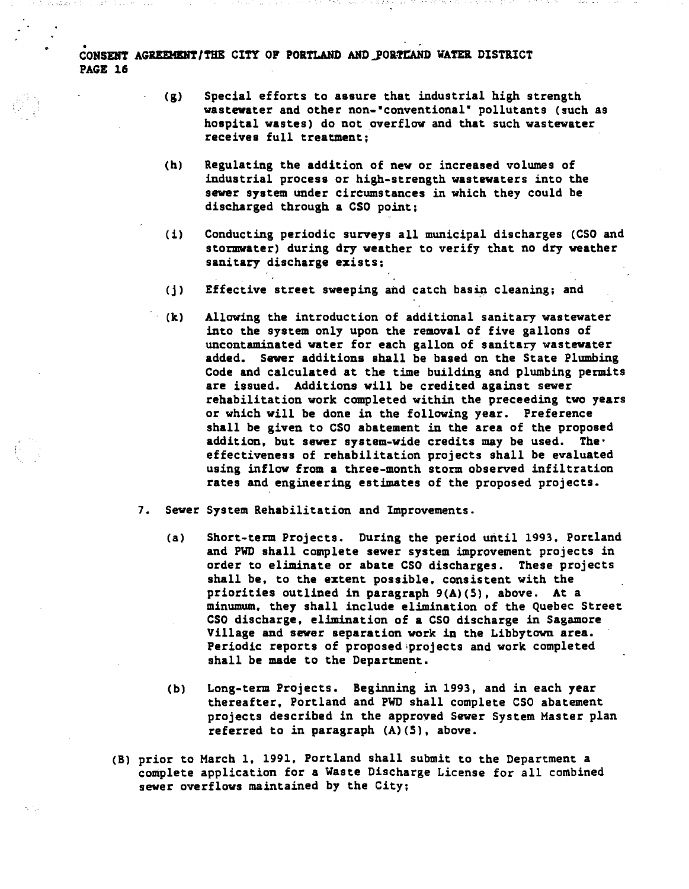- (g) Special efforts to assure that industrial high strength wastewater and other non-"conventional" pollutants (such as hospital wastes) do not overflow and that such wastewater receives full treatment;
- (h) Regulating the addition of new or increased volumes of industrial process or high-strength wastewaters into the sewer system under circumstances in which they could be discharged through a CSO point;
- (i) Conducting periodic surveys all municipal discharges (CSO and stormwater) during dry weather to verify that no dry weather sanitary discharge exists;
- (j) Effective street sweeping and catch basin cleaning; and
- (k) Allowing the introduction of additional sanitary wastewater into the system only upon the removal of five gallons of uncontaminated water for each gallon of sanitary wastewater added. Sewer additions shall be based on the State Plumbing Code and calculated at the time building and plumbing permits are issued. Additions will be credited against sewer rehabilitation work completed within the preceeding two years or which will be done in the following year. Preference shall be given to CSO abatement in the area of the proposed addition, but sewer system-wide credits may be used. The' effectiveness of rehabilitation projects shall be evaluated using inflow from a three-month storm observed infiltration rates and engineering estimates of the proposed projects.
- 7. Sewer System Rehabilitation and Improvements.
	- (a) Short-teen Projects. During the period until 1993, Portland and PWD shall complete sewer system improvement projects in order to eliminate or abate CSO discharges. These projects shall be, to the extent possible, consistent with the priorities outlined in paragraph 9(A)(S). above. At a minumum, they shall include elimination of the Quebec Street CSO discharge, elimination of a CSO discharge in Sagamore Village and sewer separation work in the Libby town area. Periodic reports of proposed;projects and work completed shall be made to the Department.
	- (b) Long-teen Projects. Beginning in 1993, and in each year thereafter, Portland and PWD shall complete CSO abatement projects described in the approved Sewer System Master plan referred to in paragraph (A)(S), above.
- (B) prior to March 1. 1991. Portland shall submit to the Department a complete application for a Waste Discharge License for all combined sewer overflows maintained by the City;